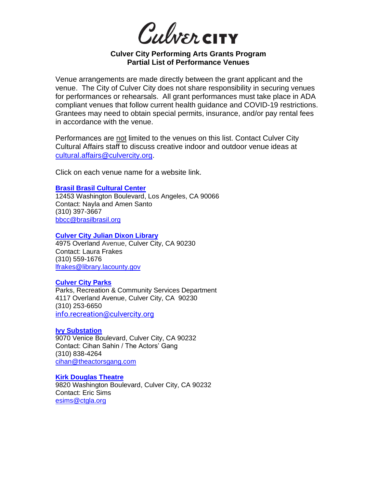Culvercity

# **Culver City Performing Arts Grants Program Partial List of Performance Venues**

Venue arrangements are made directly between the grant applicant and the venue. The City of Culver City does not share responsibility in securing venues for performances or rehearsals. All grant performances must take place in ADA compliant venues that follow current health guidance and COVID-19 restrictions. Grantees may need to obtain special permits, insurance, and/or pay rental fees in accordance with the venue.

Performances are not limited to the venues on this list. Contact Culver City Cultural Affairs staff to discuss creative indoor and outdoor venue ideas at [cultural.affairs@culvercity.org.](mailto:cultural.affairs@culvercity.org)

Click on each venue name for a website link.

#### **[Brasil Brasil Cultural Center](http://www.brasilbrasil.org/)**

12453 Washington Boulevard, Los Angeles, CA 90066 Contact: Nayla and Amen Santo (310) 397-3667 [bbcc@brasilbrasil.org](mailto:bbcc@brasilbrasil.org)

**Culver City [Julian Dixon Library](https://lacountylibrary.org/culver-city-julian-dixon-library/)**

4975 Overland Avenue, Culver City, CA 90230 Contact: Laura Frakes (310) 559-1676 [lfrakes@library.lacounty.gov](mailto:lfrakes@library.lacounty.gov)

#### **[Culver City Parks](https://www.culvercity.org/Parks)**

Parks, Recreation & Community Services Department 4117 Overland Avenue, Culver City, CA 90230 (310) 253-6650 [info.recreation@culvercity.org](mailto:info.recreation@culvercity.org)

#### **[Ivy Substation](https://theactorsgang.com/rentals/)**

9070 Venice Boulevard, Culver City, CA 90232 Contact: Cihan Sahin / The Actors' Gang (310) 838-4264 [cihan@theactorsgang.com](mailto:cihan@theactorsgang.com)

## **[Kirk Douglas Theatre](https://www.centertheatregroup.org/visit/kirk-douglas-theatre)**

9820 Washington Boulevard, Culver City, CA 90232 Contact: Eric Sims [esims@ctgla.org](mailto:esims@ctgla.org)